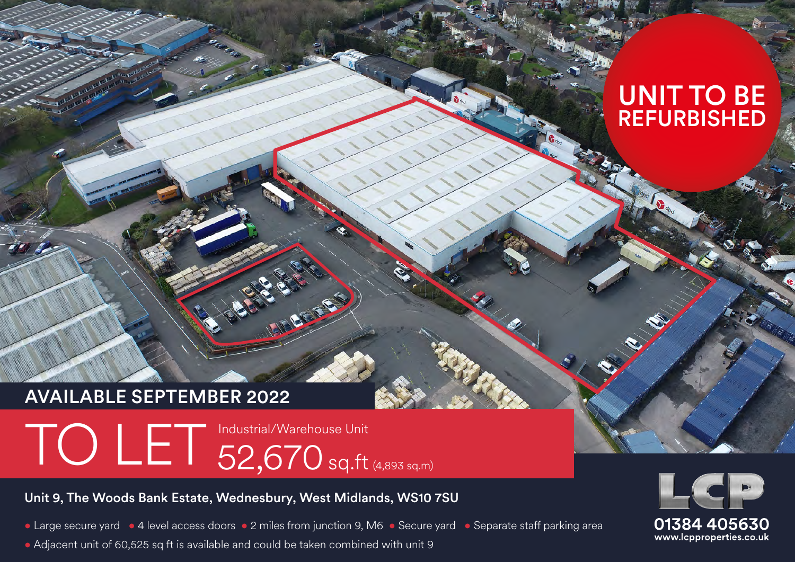# UNIT TO BE REFURBISHED

# AVAILABLE SEPTEMBER 2022

# TO LET Industrial/Warehouse Unit

## Unit 9, The Woods Bank Estate, Wednesbury, West Midlands, WS10 7SU

• Large secure yard • 4 level access doors • 2 miles from junction 9, M6 • Secure yard • Separate staff parking area

**BEFERE** 

• Adjacent unit of 60,525 sq ft is available and could be taken combined with unit 9

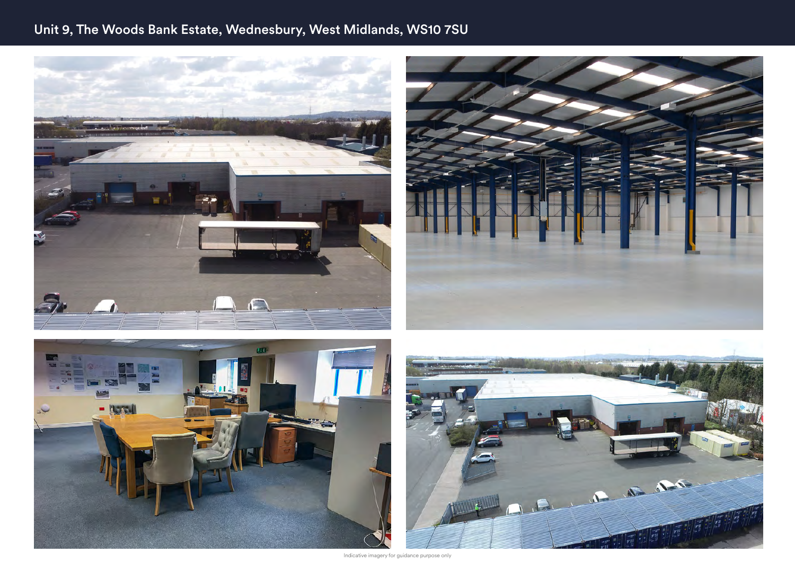# Unit 9, The Woods Bank Estate, Wednesbury, West Midlands, WS10 7SU



Indicative imagery for guidance purpose only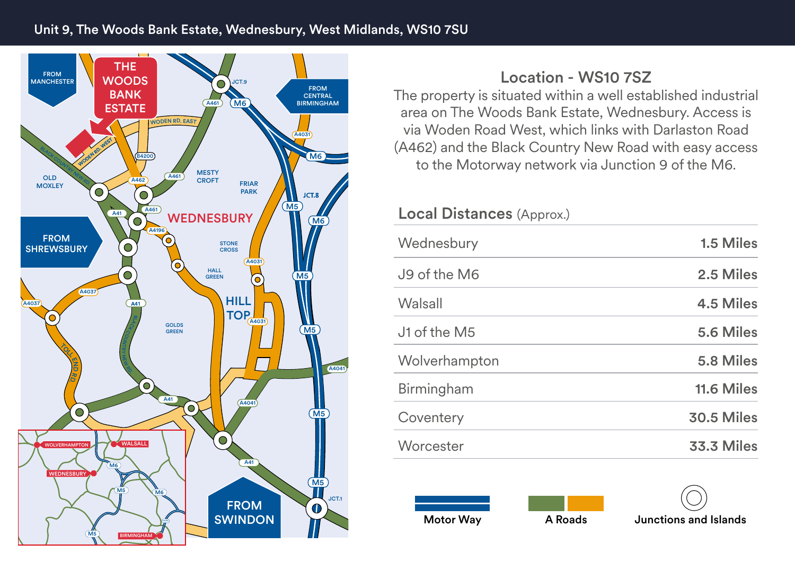

# Location - WS10 7SZ

The property is situated within a well established industrial area on The Woods Bank Estate, Wednesbury. Access is via Woden Road West, which links with Darlaston Road (A462) and the Black Country New Road with easy access to the Motorway network via Junction 9 of the M6.

## Local Distances (Approx.)

| Wednesbury    | 1.5 Miles         |
|---------------|-------------------|
| J9 of the M6  | 2.5 Miles         |
| Walsall       | 4.5 Miles         |
| J1 of the M5  | 5.6 Miles         |
| Wolverhampton | 5.8 Miles         |
| Birmingham    | 11.6 Miles        |
| Coventery     | <b>30.5 Miles</b> |
| Worcester     | <b>33.3 Miles</b> |

Motor Way **A Roads** Junctions and Islands